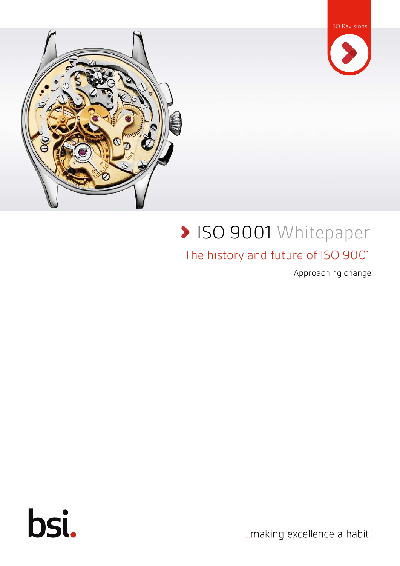



# **> ISO 9001 Whitepaper**

#### The history and future of ISO 9001

Approaching change



... making excellence a habit."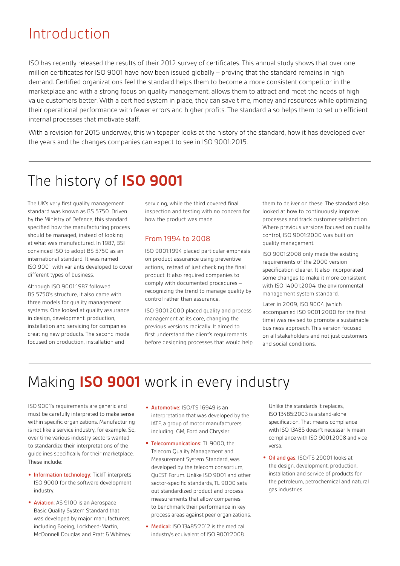#### Introduction

ISO has recently released the results of their 2012 survey of certificates. This annual study shows that over one million certificates for ISO 9001 have now been issued globally – proving that the standard remains in high demand. Certified organizations feel the standard helps them to become a more consistent competitor in the marketplace and with a strong focus on quality management, allows them to attract and meet the needs of high value customers better. With a certified system in place, they can save time, money and resources while optimizing their operational performance with fewer errors and higher profits. The standard also helps them to set up efficient internal processes that motivate staff.

With a revision for 2015 underway, this whitepaper looks at the history of the standard, how it has developed over the years and the changes companies can expect to see in ISO 9001:2015.

### The history of **ISO 9001**

The UK's very first quality management standard was known as BS 5750. Driven by the Ministry of Defence, this standard specified how the manufacturing process should be managed, instead of looking at what was manufactured. In 1987, BSI convinced ISO to adopt BS 5750 as an international standard. It was named ISO 9001 with variants developed to cover different types of business.

Although ISO 9001:1987 followed BS 5750's structure, it also came with three models for quality management systems. One looked at quality assurance in design, development, production, installation and servicing for companies creating new products. The second model focused on production, installation and

servicing, while the third covered final inspection and testing with no concern for how the product was made.

#### From 1994 to 2008

ISO 9001:1994 placed particular emphasis on product assurance using preventive actions, instead of just checking the final product. It also required companies to comply with documented procedures – recognizing the trend to manage quality by control rather than assurance.

ISO 9001:2000 placed quality and process management at its core, changing the previous versions radically. It aimed to first understand the client's requirements before designing processes that would help them to deliver on these. The standard also looked at how to continuously improve processes and track customer satisfaction. Where previous versions focused on quality control, ISO 9001:2000 was built on quality management.

ISO 9001:2008 only made the existing requirements of the 2000 version specification clearer. It also incorporated some changes to make it more consistent with ISO 14001:2004, the environmental management system standard.

Later in 2009, ISO 9004 (which accompanied ISO 9001:2000 for the first time) was revised to promote a sustainable business approach. This version focused on all stakeholders and not just customers and social conditions.

#### Making **ISO 9001** work in every industry

ISO 9001's requirements are generic and must be carefully interpreted to make sense within specific organizations. Manufacturing is not like a service industry, for example. So, over time various industry sectors wanted to standardize their interpretations of the guidelines specifically for their marketplace. These include:

- **•** Information technology: TickIT interprets ISO 9000 for the software development industry.
- **•** Aviation: AS 9100 is an Aerospace Basic Quality System Standard that was developed by major manufacturers, including Boeing, Lockheed-Martin, McDonnell Douglas and Pratt & Whitney.
- **•** Automotive: ISO/TS 16949 is an interpretation that was developed by the IATF, a group of motor manufacturers including GM, Ford and Chrysler.
- **•** Telecommunications: TL 9000, the Telecom Quality Management and Measurement System Standard, was developed by the telecom consortium, QuEST Forum. Unlike ISO 9001 and other sector-specific standards, TL 9000 sets out standardized product and process measurements that allow companies to benchmark their performance in key process areas against peer organizations.
- **•** Medical: ISO 13485:2012 is the medical industry's equivalent of ISO 9001:2008.

Unlike the standards it replaces, ISO 13485:2003 is a stand-alone specification. That means compliance with ISO 13485 doesn't necessarily mean compliance with ISO 9001:2008 and vice versa.

**•** Oil and gas: ISO/TS 29001 looks at the design, development, production, installation and service of products for the petroleum, petrochemical and natural gas industries.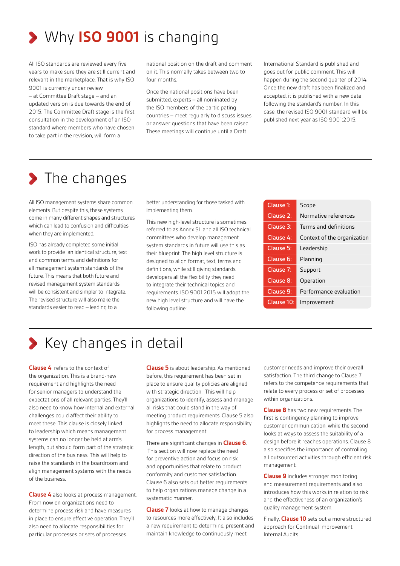

All ISO standards are reviewed every five years to make sure they are still current and relevant in the marketplace. That is why ISO 9001 is currently under review – at Committee Draft stage – and an updated version is due towards the end of 2015. The Committee Draft stage is the first consultation in the development of an ISO standard where members who have chosen to take part in the revision, will form a

national position on the draft and comment on it. This normally takes between two to four months.

Once the national positions have been submitted, experts – all nominated by the ISO members of the participating countries – meet regularly to discuss issues or answer questions that have been raised. These meetings will continue until a Draft

International Standard is published and goes out for public comment. This will happen during the second quarter of 2014. Once the new draft has been finalized and accepted, it is published with a new date following the standard's number. In this case, the revised ISO 9001 standard will be published next year as ISO 9001:2015.

#### > The changes

All ISO management systems share common elements. But despite this, these systems come in many different shapes and structures which can lead to confusion and difficulties when they are implemented.

ISO has already completed some initial work to provide an identical structure, text and common terms and definitions for all management system standards of the future. This means that both future and revised management system standards will be consistent and simpler to integrate. The revised structure will also make the standards easier to read – leading to a

better understanding for those tasked with implementing them.

This new high-level structure is sometimes referred to as Annex SL and all ISO technical committees who develop management system standards in future will use this as their blueprint. The high level structure is designed to align format, text, terms and definitions, while still giving standards developers all the flexibility they need to integrate their technical topics and requirements. ISO 9001:2015 will adopt the new high level structure and will have the following outline:

| Clause 1:  | Scope                       |
|------------|-----------------------------|
| Clause 2:  | Normative references        |
| Clause 3:  | Terms and definitions       |
| Clause 4:  | Context of the organization |
| Clause 5:  | Leadership                  |
| Clause 6:  | Planning                    |
| Clause 7:  | Support                     |
| Clause 8:  | Operation                   |
| Clause 9:  | Performance evaluation      |
| Clause 10: | Improvement                 |

### S Key changes in detail

**Clause 4** refers to the context of the organization. This is a brand-new requirement and highlights the need for senior managers to understand the expectations of all relevant parties. They'll also need to know how internal and external challenges could affect their ability to meet these. This clause is closely linked to leadership which means management systems can no longer be held at arm's length, but should form part of the strategic direction of the business. This will help to raise the standards in the boardroom and align management systems with the needs of the business.

**Clause 4** also looks at process management. From now on organizations need to determine process risk and have measures in place to ensure effective operation. They'll also need to allocate responsibilities for particular processes or sets of processes.

**Clause 5** is about leadership. As mentioned before, this requirement has been set in place to ensure quality policies are aligned with strategic direction. This will help organizations to identify, assess and manage all risks that could stand in the way of meeting product requirements. Clause 5 also highlights the need to allocate responsibility for process management.

There are significant changes in **Clause 6**. This section will now replace the need for preventive action and focus on risk and opportunities that relate to product conformity and customer satisfaction. Clause 6 also sets out better requirements to help organizations manage change in a systematic manner.

**Clause 7** looks at how to manage changes to resources more effectively. It also includes a new requirement to determine, present and maintain knowledge to continuously meet

customer needs and improve their overall satisfaction. The third change to Clause 7 refers to the competence requirements that relate to every process or set of processes within organizations.

**Clause 8** has two new requirements. The first is contingency planning to improve customer communication, while the second looks at ways to assess the suitability of a design before it reaches operations. Clause 8 also specifies the importance of controlling all outsourced activities through efficient risk management.

**Clause 9** includes stronger monitoring and measurement requirements and also introduces how this works in relation to risk and the effectiveness of an organization's quality management system.

Finally, **Clause 10** sets out a more structured approach for Continual Improvement Internal Audits.